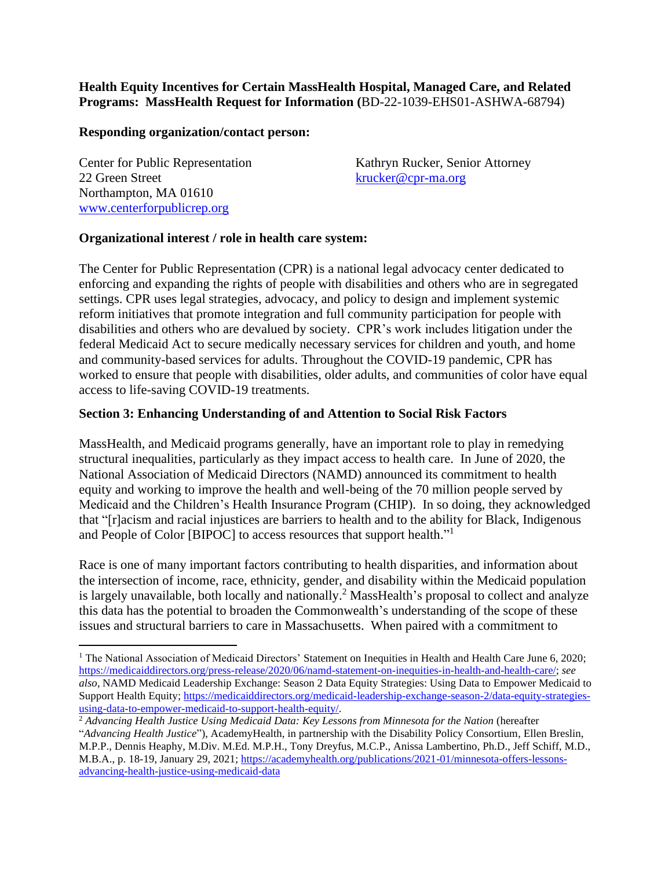### **Health Equity Incentives for Certain MassHealth Hospital, Managed Care, and Related Programs: MassHealth Request for Information (**BD-22-1039-EHS01-ASHWA-68794)

#### **Responding organization/contact person:**

22 Green Street [krucker@cpr-ma.org](mailto:krucker@cpr-ma.org) Northampton, MA 01610 [www.centerforpublicrep.org](http://www.centerforpublicrep.org/)

Center for Public Representation Kathryn Rucker, Senior Attorney

### **Organizational interest / role in health care system:**

The Center for Public Representation (CPR) is a national legal advocacy center dedicated to enforcing and expanding the rights of people with disabilities and others who are in segregated settings. CPR uses legal strategies, advocacy, and policy to design and implement systemic reform initiatives that promote integration and full community participation for people with disabilities and others who are devalued by society. CPR's work includes litigation under the federal Medicaid Act to secure medically necessary services for children and youth, and home and community-based services for adults. Throughout the COVID-19 pandemic, CPR has worked to ensure that people with disabilities, older adults, and communities of color have equal access to life-saving COVID-19 treatments.

### **Section 3: Enhancing Understanding of and Attention to Social Risk Factors**

MassHealth, and Medicaid programs generally, have an important role to play in remedying structural inequalities, particularly as they impact access to health care. In June of 2020, the National Association of Medicaid Directors (NAMD) announced its commitment to health equity and working to improve the health and well-being of the 70 million people served by Medicaid and the Children's Health Insurance Program (CHIP). In so doing, they acknowledged that "[r]acism and racial injustices are barriers to health and to the ability for Black, Indigenous and People of Color [BIPOC] to access resources that support health."<sup>1</sup>

Race is one of many important factors contributing to health disparities, and information about the intersection of income, race, ethnicity, gender, and disability within the Medicaid population is largely unavailable, both locally and nationally.<sup>2</sup> MassHealth's proposal to collect and analyze this data has the potential to broaden the Commonwealth's understanding of the scope of these issues and structural barriers to care in Massachusetts. When paired with a commitment to

<sup>&</sup>lt;sup>1</sup> The National Association of Medicaid Directors' Statement on Inequities in Health and Health Care June 6, 2020; [https://medicaiddirectors.org/press-release/2020/06/namd-statement-on-inequities-in-health-and-health-care/;](https://medicaiddirectors.org/press-release/2020/06/namd-statement-on-inequities-in-health-and-health-care/) *see also*, NAMD Medicaid Leadership Exchange: Season 2 Data Equity Strategies: Using Data to Empower Medicaid to Support Health Equity; [https://medicaiddirectors.org/medicaid-leadership-exchange-season-2/data-equity-strategies](https://medicaiddirectors.org/medicaid-leadership-exchange-season-2/data-equity-strategies-using-data-to-empower-medicaid-to-support-health-equity/)[using-data-to-empower-medicaid-to-support-health-equity/.](https://medicaiddirectors.org/medicaid-leadership-exchange-season-2/data-equity-strategies-using-data-to-empower-medicaid-to-support-health-equity/)

<sup>2</sup> *Advancing Health Justice Using Medicaid Data: Key Lessons from Minnesota for the Nation* (hereafter "*Advancing Health Justice*"), AcademyHealth, in partnership with the Disability Policy Consortium, Ellen Breslin, M.P.P., Dennis Heaphy, M.Div. M.Ed. M.P.H., Tony Dreyfus, M.C.P., Anissa Lambertino, Ph.D., Jeff Schiff, M.D., M.B.A., p. 18-19, January 29, 2021[; https://academyhealth.org/publications/2021-01/minnesota-offers-lessons](https://academyhealth.org/publications/2021-01/minnesota-offers-lessons-advancing-health-justice-using-medicaid-data)[advancing-health-justice-using-medicaid-data](https://academyhealth.org/publications/2021-01/minnesota-offers-lessons-advancing-health-justice-using-medicaid-data)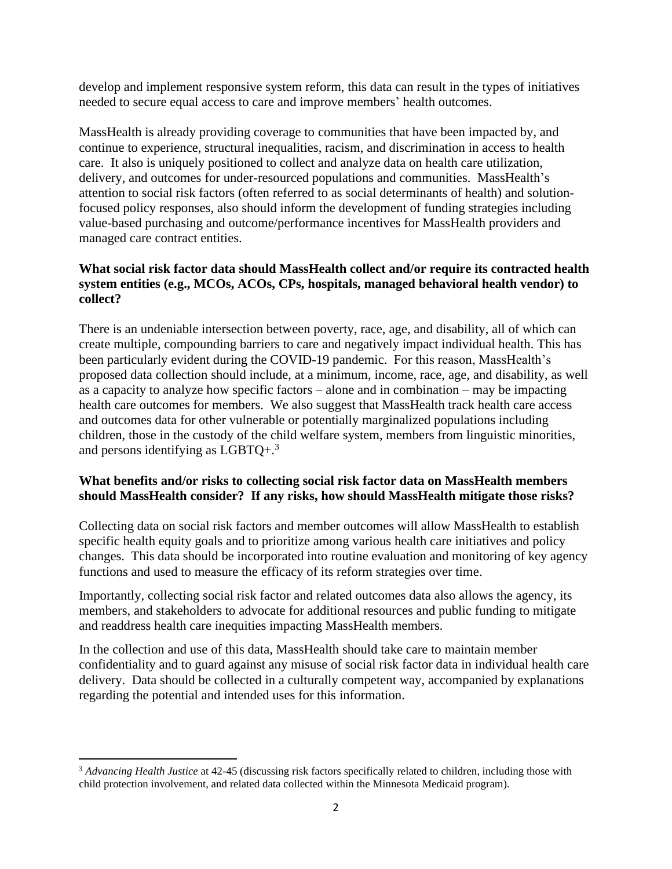develop and implement responsive system reform, this data can result in the types of initiatives needed to secure equal access to care and improve members' health outcomes.

MassHealth is already providing coverage to communities that have been impacted by, and continue to experience, structural inequalities, racism, and discrimination in access to health care. It also is uniquely positioned to collect and analyze data on health care utilization, delivery, and outcomes for under-resourced populations and communities. MassHealth's attention to social risk factors (often referred to as social determinants of health) and solutionfocused policy responses, also should inform the development of funding strategies including value-based purchasing and outcome/performance incentives for MassHealth providers and managed care contract entities.

## **What social risk factor data should MassHealth collect and/or require its contracted health system entities (e.g., MCOs, ACOs, CPs, hospitals, managed behavioral health vendor) to collect?**

There is an undeniable intersection between poverty, race, age, and disability, all of which can create multiple, compounding barriers to care and negatively impact individual health. This has been particularly evident during the COVID-19 pandemic. For this reason, MassHealth's proposed data collection should include, at a minimum, income, race, age, and disability, as well as a capacity to analyze how specific factors – alone and in combination – may be impacting health care outcomes for members. We also suggest that MassHealth track health care access and outcomes data for other vulnerable or potentially marginalized populations including children, those in the custody of the child welfare system, members from linguistic minorities, and persons identifying as  $LGBTQ+<sup>3</sup>$ .

## **What benefits and/or risks to collecting social risk factor data on MassHealth members should MassHealth consider? If any risks, how should MassHealth mitigate those risks?**

Collecting data on social risk factors and member outcomes will allow MassHealth to establish specific health equity goals and to prioritize among various health care initiatives and policy changes. This data should be incorporated into routine evaluation and monitoring of key agency functions and used to measure the efficacy of its reform strategies over time.

Importantly, collecting social risk factor and related outcomes data also allows the agency, its members, and stakeholders to advocate for additional resources and public funding to mitigate and readdress health care inequities impacting MassHealth members.

In the collection and use of this data, MassHealth should take care to maintain member confidentiality and to guard against any misuse of social risk factor data in individual health care delivery. Data should be collected in a culturally competent way, accompanied by explanations regarding the potential and intended uses for this information.

<sup>&</sup>lt;sup>3</sup> Advancing Health Justice at 42-45 (discussing risk factors specifically related to children, including those with child protection involvement, and related data collected within the Minnesota Medicaid program).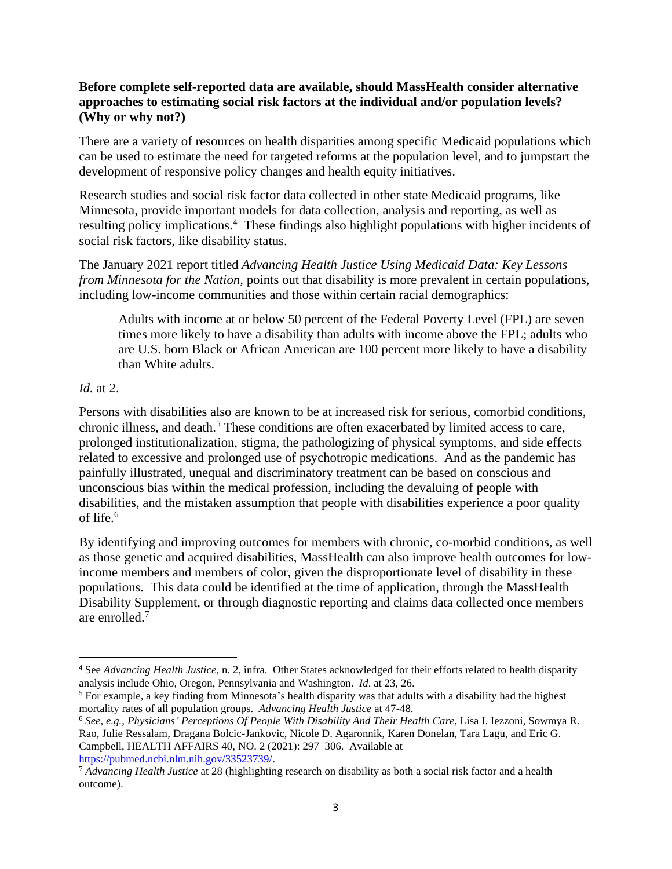### **Before complete self-reported data are available, should MassHealth consider alternative approaches to estimating social risk factors at the individual and/or population levels? (Why or why not?)**

There are a variety of resources on health disparities among specific Medicaid populations which can be used to estimate the need for targeted reforms at the population level, and to jumpstart the development of responsive policy changes and health equity initiatives.

Research studies and social risk factor data collected in other state Medicaid programs, like Minnesota, provide important models for data collection, analysis and reporting, as well as resulting policy implications. 4 These findings also highlight populations with higher incidents of social risk factors, like disability status.

The January 2021 report titled *Advancing Health Justice Using Medicaid Data: Key Lessons from Minnesota for the Nation, points out that disability is more prevalent in certain populations,* including low-income communities and those within certain racial demographics:

Adults with income at or below 50 percent of the Federal Poverty Level (FPL) are seven times more likely to have a disability than adults with income above the FPL; adults who are U.S. born Black or African American are 100 percent more likely to have a disability than White adults.

# *Id.* at 2.

Persons with disabilities also are known to be at increased risk for serious, comorbid conditions, chronic illness, and death. <sup>5</sup> These conditions are often exacerbated by limited access to care, prolonged institutionalization, stigma, the pathologizing of physical symptoms, and side effects related to excessive and prolonged use of psychotropic medications. And as the pandemic has painfully illustrated, unequal and discriminatory treatment can be based on conscious and unconscious bias within the medical profession, including the devaluing of people with disabilities, and the mistaken assumption that people with disabilities experience a poor quality of life. 6

By identifying and improving outcomes for members with chronic, co-morbid conditions, as well as those genetic and acquired disabilities, MassHealth can also improve health outcomes for lowincome members and members of color, given the disproportionate level of disability in these populations. This data could be identified at the time of application, through the MassHealth Disability Supplement, or through diagnostic reporting and claims data collected once members are enrolled. 7

[https://pubmed.ncbi.nlm.nih.gov/33523739/.](https://pubmed.ncbi.nlm.nih.gov/33523739/)

<sup>4</sup> See *Advancing Health Justice*, n. 2, infra. Other States acknowledged for their efforts related to health disparity analysis include Ohio, Oregon, Pennsylvania and Washington. *Id*. at 23, 26.

<sup>5</sup> For example, a key finding from Minnesota's health disparity was that adults with a disability had the highest mortality rates of all population groups. *Advancing Health Justice* at 47-48.

<sup>6</sup> *See, e.g., Physicians' Perceptions Of People With Disability And Their Health Care,* Lisa I. Iezzoni, Sowmya R. Rao, Julie Ressalam, Dragana Bolcic-Jankovic, Nicole D. Agaronnik, Karen Donelan, Tara Lagu, and Eric G. Campbell, HEALTH AFFAIRS 40, NO. 2 (2021): 297–306. Available at

<sup>7</sup> *Advancing Health Justice* at 28 (highlighting research on disability as both a social risk factor and a health outcome).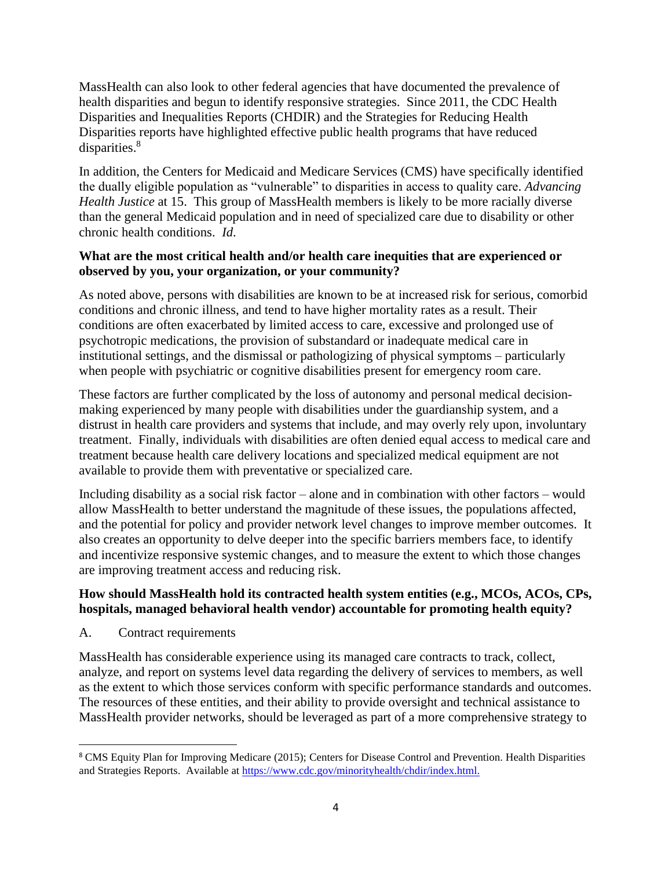MassHealth can also look to other federal agencies that have documented the prevalence of health disparities and begun to identify responsive strategies. Since 2011, the CDC Health Disparities and Inequalities Reports (CHDIR) and the Strategies for Reducing Health Disparities reports have highlighted effective public health programs that have reduced disparities.<sup>8</sup>

In addition, the Centers for Medicaid and Medicare Services (CMS) have specifically identified the dually eligible population as "vulnerable" to disparities in access to quality care. *Advancing Health Justice* at 15. This group of MassHealth members is likely to be more racially diverse than the general Medicaid population and in need of specialized care due to disability or other chronic health conditions. *Id*.

## **What are the most critical health and/or health care inequities that are experienced or observed by you, your organization, or your community?**

As noted above, persons with disabilities are known to be at increased risk for serious, comorbid conditions and chronic illness, and tend to have higher mortality rates as a result. Their conditions are often exacerbated by limited access to care, excessive and prolonged use of psychotropic medications, the provision of substandard or inadequate medical care in institutional settings, and the dismissal or pathologizing of physical symptoms – particularly when people with psychiatric or cognitive disabilities present for emergency room care.

These factors are further complicated by the loss of autonomy and personal medical decisionmaking experienced by many people with disabilities under the guardianship system, and a distrust in health care providers and systems that include, and may overly rely upon, involuntary treatment. Finally, individuals with disabilities are often denied equal access to medical care and treatment because health care delivery locations and specialized medical equipment are not available to provide them with preventative or specialized care.

Including disability as a social risk factor – alone and in combination with other factors – would allow MassHealth to better understand the magnitude of these issues, the populations affected, and the potential for policy and provider network level changes to improve member outcomes. It also creates an opportunity to delve deeper into the specific barriers members face, to identify and incentivize responsive systemic changes, and to measure the extent to which those changes are improving treatment access and reducing risk.

## **How should MassHealth hold its contracted health system entities (e.g., MCOs, ACOs, CPs, hospitals, managed behavioral health vendor) accountable for promoting health equity?**

A. Contract requirements

MassHealth has considerable experience using its managed care contracts to track, collect, analyze, and report on systems level data regarding the delivery of services to members, as well as the extent to which those services conform with specific performance standards and outcomes. The resources of these entities, and their ability to provide oversight and technical assistance to MassHealth provider networks, should be leveraged as part of a more comprehensive strategy to

<sup>&</sup>lt;sup>8</sup> CMS Equity Plan for Improving Medicare (2015); Centers for Disease Control and Prevention. Health Disparities and Strategies Reports. Available a[t https://www.cdc.gov/minorityhealth/chdir/index.html.](https://www.cdc.gov/minorityhealth/chdir/index.html.)